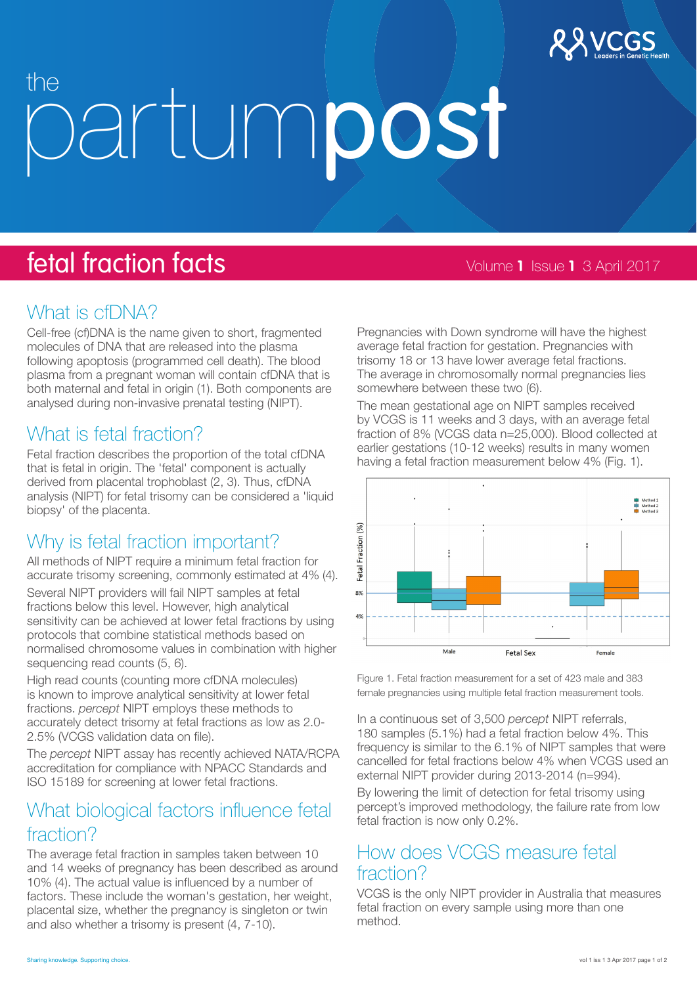

# the *destumpost*

# **fetal fraction facts 1 1**  $\frac{1}{2017}$  Volume **1** Issue **1** 3 April 2017

## What is cfDNA?

Cell-free (cf)DNA is the name given to short, fragmented molecules of DNA that are released into the plasma following apoptosis (programmed cell death). The blood plasma from a pregnant woman will contain cfDNA that is both maternal and fetal in origin (1). Both components are analysed during non-invasive prenatal testing (NIPT).

## What is fetal fraction?

Fetal fraction describes the proportion of the total cfDNA that is fetal in origin. The 'fetal' component is actually derived from placental trophoblast (2, 3). Thus, cfDNA analysis (NIPT) for fetal trisomy can be considered a 'liquid biopsy' of the placenta.

## Why is fetal fraction important?

All methods of NIPT require a minimum fetal fraction for accurate trisomy screening, commonly estimated at 4% (4).

Several NIPT providers will fail NIPT samples at fetal fractions below this level. However, high analytical sensitivity can be achieved at lower fetal fractions by using protocols that combine statistical methods based on normalised chromosome values in combination with higher sequencing read counts (5, 6).

High read counts (counting more cfDNA molecules) is known to improve analytical sensitivity at lower fetal fractions. *percept* NIPT employs these methods to accurately detect trisomy at fetal fractions as low as 2.0- 2.5% (VCGS validation data on file).

The *percept* NIPT assay has recently achieved NATA/RCPA accreditation for compliance with NPACC Standards and ISO 15189 for screening at lower fetal fractions.

## What biological factors influence fetal fraction?

The average fetal fraction in samples taken between 10 and 14 weeks of pregnancy has been described as around 10% (4). The actual value is influenced by a number of factors. These include the woman's gestation, her weight, placental size, whether the pregnancy is singleton or twin and also whether a trisomy is present (4, 7-10).

Pregnancies with Down syndrome will have the highest average fetal fraction for gestation. Pregnancies with trisomy 18 or 13 have lower average fetal fractions. The average in chromosomally normal pregnancies lies somewhere between these two (6).

The mean gestational age on NIPT samples received by VCGS is 11 weeks and 3 days, with an average fetal fraction of 8% (VCGS data n=25,000). Blood collected at earlier gestations (10-12 weeks) results in many women having a fetal fraction measurement below 4% (Fig. 1).



Figure 1. Fetal fraction measurement for a set of 423 male and 383 female pregnancies using multiple fetal fraction measurement tools.

In a continuous set of 3,500 *percept* NIPT referrals, 180 samples (5.1%) had a fetal fraction below 4%. This frequency is similar to the 6.1% of NIPT samples that were cancelled for fetal fractions below 4% when VCGS used an external NIPT provider during 2013-2014 (n=994).

By lowering the limit of detection for fetal trisomy using percept's improved methodology, the failure rate from low fetal fraction is now only 0.2%.

## How does VCGS measure fetal fraction?

VCGS is the only NIPT provider in Australia that measures fetal fraction on every sample using more than one method.